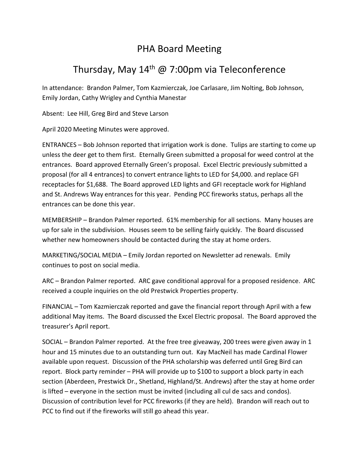## PHA Board Meeting

## Thursday, May  $14<sup>th</sup>$  @ 7:00pm via Teleconference

In attendance: Brandon Palmer, Tom Kazmierczak, Joe Carlasare, Jim Nolting, Bob Johnson, Emily Jordan, Cathy Wrigley and Cynthia Manestar

Absent: Lee Hill, Greg Bird and Steve Larson

April 2020 Meeting Minutes were approved.

ENTRANCES – Bob Johnson reported that irrigation work is done. Tulips are starting to come up unless the deer get to them first. Eternally Green submitted a proposal for weed control at the entrances. Board approved Eternally Green's proposal. Excel Electric previously submitted a proposal (for all 4 entrances) to convert entrance lights to LED for \$4,000. and replace GFI receptacles for \$1,688. The Board approved LED lights and GFI receptacle work for Highland and St. Andrews Way entrances for this year. Pending PCC fireworks status, perhaps all the entrances can be done this year.

MEMBERSHIP – Brandon Palmer reported. 61% membership for all sections. Many houses are up for sale in the subdivision. Houses seem to be selling fairly quickly. The Board discussed whether new homeowners should be contacted during the stay at home orders.

MARKETING/SOCIAL MEDIA – Emily Jordan reported on Newsletter ad renewals. Emily continues to post on social media.

ARC – Brandon Palmer reported. ARC gave conditional approval for a proposed residence. ARC received a couple inquiries on the old Prestwick Properties property.

FINANCIAL – Tom Kazmierczak reported and gave the financial report through April with a few additional May items. The Board discussed the Excel Electric proposal. The Board approved the treasurer's April report.

SOCIAL – Brandon Palmer reported. At the free tree giveaway, 200 trees were given away in 1 hour and 15 minutes due to an outstanding turn out. Kay MacNeil has made Cardinal Flower available upon request. Discussion of the PHA scholarship was deferred until Greg Bird can report. Block party reminder – PHA will provide up to \$100 to support a block party in each section (Aberdeen, Prestwick Dr., Shetland, Highland/St. Andrews) after the stay at home order is lifted – everyone in the section must be invited (including all cul de sacs and condos). Discussion of contribution level for PCC fireworks (if they are held). Brandon will reach out to PCC to find out if the fireworks will still go ahead this year.